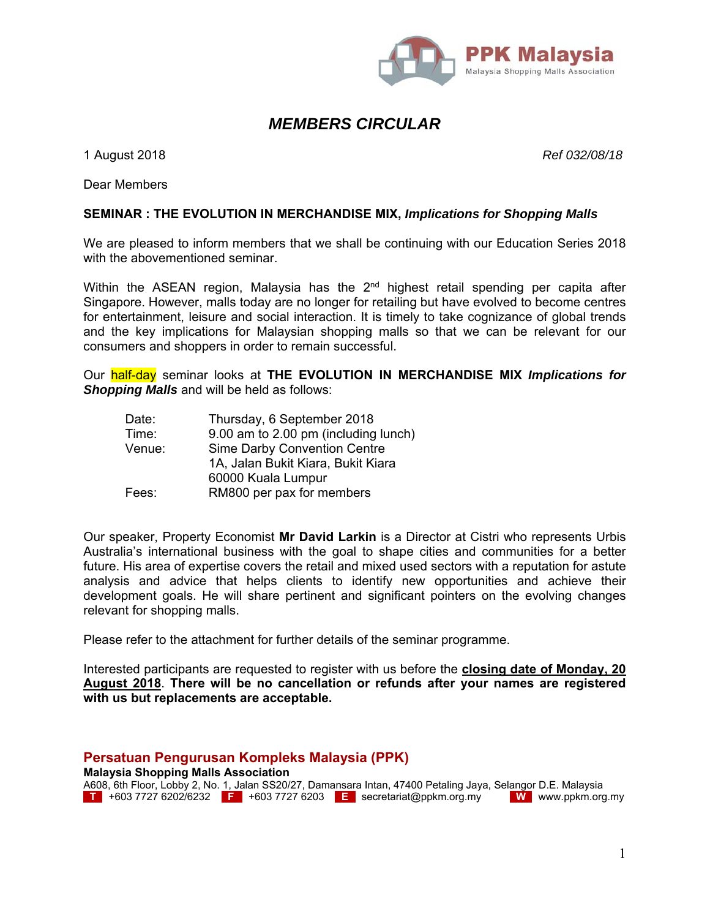

# *MEMBERS CIRCULAR*

1 August 2018 *Ref 032/08/18*

Dear Members

#### **SEMINAR : THE EVOLUTION IN MERCHANDISE MIX,** *Implications for Shopping Malls*

We are pleased to inform members that we shall be continuing with our Education Series 2018 with the abovementioned seminar.

Within the ASEAN region, Malaysia has the  $2<sup>nd</sup>$  highest retail spending per capita after Singapore. However, malls today are no longer for retailing but have evolved to become centres for entertainment, leisure and social interaction. It is timely to take cognizance of global trends and the key implications for Malaysian shopping malls so that we can be relevant for our consumers and shoppers in order to remain successful.

Our half-day seminar looks at **THE EVOLUTION IN MERCHANDISE MIX** *Implications for Shopping Malls* and will be held as follows:

 Date: Thursday, 6 September 2018 Time: 9.00 am to 2.00 pm (including lunch) Venue: Sime Darby Convention Centre 1A, Jalan Bukit Kiara, Bukit Kiara 60000 Kuala Lumpur Fees: RM800 per pax for members

Our speaker, Property Economist **Mr David Larkin** is a Director at Cistri who represents Urbis Australia's international business with the goal to shape cities and communities for a better future. His area of expertise covers the retail and mixed used sectors with a reputation for astute analysis and advice that helps clients to identify new opportunities and achieve their development goals. He will share pertinent and significant pointers on the evolving changes relevant for shopping malls.

Please refer to the attachment for further details of the seminar programme.

Interested participants are requested to register with us before the **closing date of Monday, 20 August 2018**. **There will be no cancellation or refunds after your names are registered with us but replacements are acceptable.** 

#### **Persatuan Pengurusan Kompleks Malaysia (PPK)**

**Malaysia Shopping Malls Association** 

A608, 6th Floor, Lobby 2, No. 1, Jalan SS20/27, Damansara Intan, 47400 Petaling Jaya, Selangor D.E. Malaysia **T** +603 7727 6202/6232 **F** +603 7727 6203 **E** secretariat@ppkm.org.my **W** www.ppkm.org.my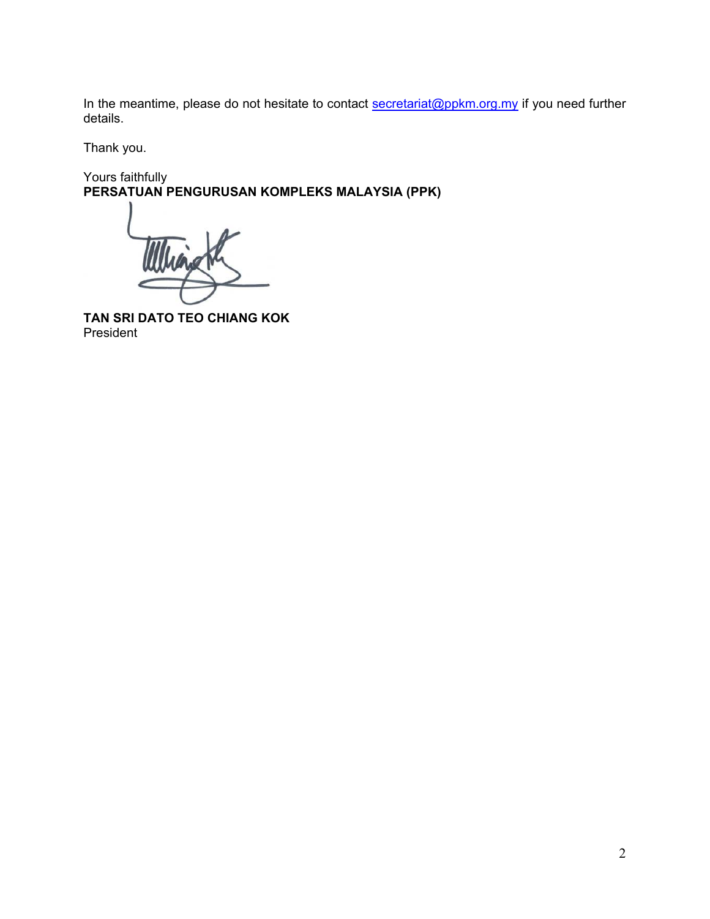In the meantime, please do not hesitate to contact secretariat@ppkm.org.my if you need further details.

Thank you.

Yours faithfully **PERSATUAN PENGURUSAN KOMPLEKS MALAYSIA (PPK)** 

**TAN SRI DATO TEO CHIANG KOK**  President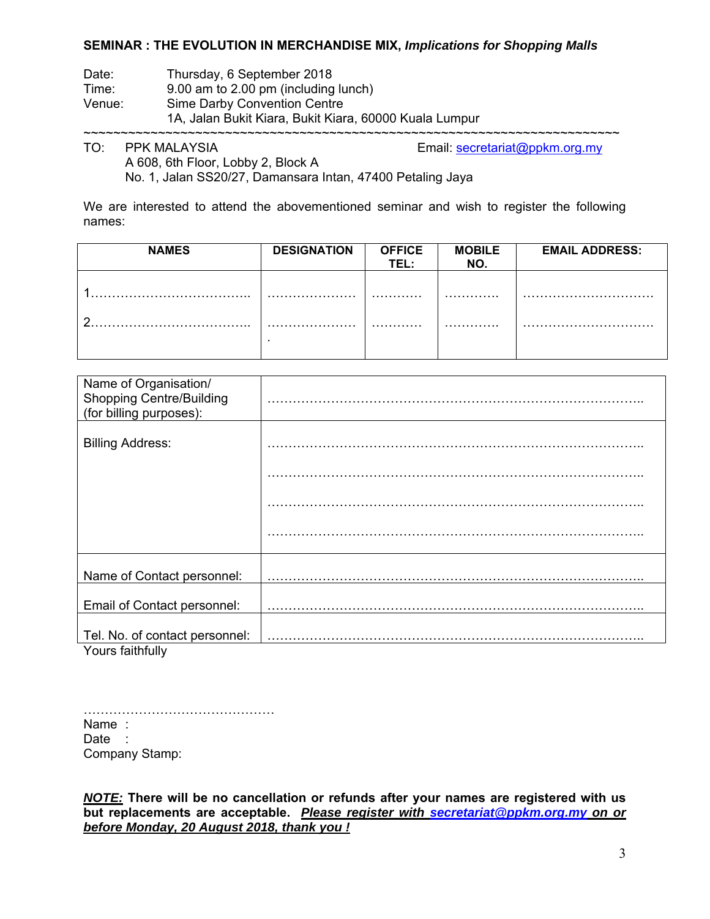#### **SEMINAR : THE EVOLUTION IN MERCHANDISE MIX,** *Implications for Shopping Malls*

Date: Thursday, 6 September 2018

Time: 9.00 am to 2.00 pm (including lunch)

Venue: Sime Darby Convention Centre

1A, Jalan Bukit Kiara, Bukit Kiara, 60000 Kuala Lumpur

~~~~~~~~~~~~~~~~~~~~~~~~~~~~~~~~~<br>PPK MALAYSIA

TO: PPK MALAYSIA Email: secretariat@ppkm.org.my

 A 608, 6th Floor, Lobby 2, Block A No. 1, Jalan SS20/27, Damansara Intan, 47400 Petaling Jaya

We are interested to attend the abovementioned seminar and wish to register the following names:

| <b>NAMES</b> | <b>DESIGNATION</b> | <b>OFFICE</b><br>TEL : | <b>MOBILE</b><br>NO. | <b>EMAIL ADDRESS:</b> |
|--------------|--------------------|------------------------|----------------------|-----------------------|
|              |                    | .                      | .                    |                       |
| n            |                    | .                      | .                    |                       |
|              |                    |                        |                      |                       |

| Name of Organisation/<br><b>Shopping Centre/Building</b><br>(for billing purposes): |  |
|-------------------------------------------------------------------------------------|--|
| <b>Billing Address:</b>                                                             |  |
|                                                                                     |  |
|                                                                                     |  |
|                                                                                     |  |
| Name of Contact personnel:                                                          |  |
| Email of Contact personnel:                                                         |  |
| Tel. No. of contact personnel:<br>A Zooloogia (La Sulta College)                    |  |

Yours faithfully

……………………………………… Name : Date : Company Stamp:

*NOTE:* **There will be no cancellation or refunds after your names are registered with us but replacements are acceptable.** *Please register with secretariat@ppkm.org.my on or before Monday, 20 August 2018, thank you !*